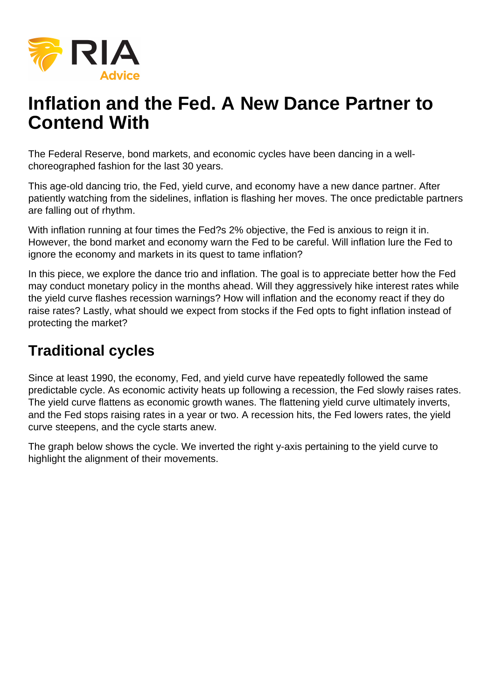

# **Inflation and the Fed. A New Dance Partner to Contend With**

The Federal Reserve, bond markets, and economic cycles have been dancing in a wellchoreographed fashion for the last 30 years.

This age-old dancing trio, the Fed, yield curve, and economy have a new dance partner. After patiently watching from the sidelines, inflation is flashing her moves. The once predictable partners are falling out of rhythm.

With inflation running at four times the Fed?s 2% objective, the Fed is anxious to reign it in. However, the bond market and economy warn the Fed to be careful. Will inflation lure the Fed to ignore the economy and markets in its quest to tame inflation?

In this piece, we explore the dance trio and inflation. The goal is to appreciate better how the Fed may conduct monetary policy in the months ahead. Will they aggressively hike interest rates while the yield curve flashes recession warnings? How will inflation and the economy react if they do raise rates? Lastly, what should we expect from stocks if the Fed opts to fight inflation instead of protecting the market?

## **Traditional cycles**

Since at least 1990, the economy, Fed, and yield curve have repeatedly followed the same predictable cycle. As economic activity heats up following a recession, the Fed slowly raises rates. The yield curve flattens as economic growth wanes. The flattening yield curve ultimately inverts, and the Fed stops raising rates in a year or two. A recession hits, the Fed lowers rates, the yield curve steepens, and the cycle starts anew.

The graph below shows the cycle. We inverted the right y-axis pertaining to the yield curve to highlight the alignment of their movements.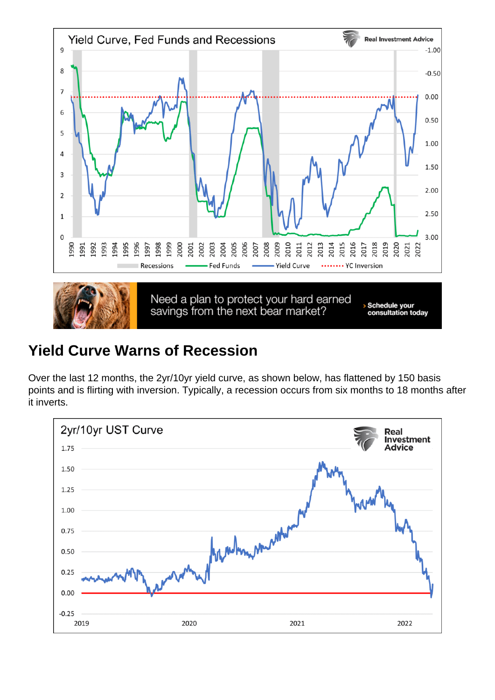## Yield Curve Warns of Recession

Over the last 12 months, the 2yr/10yr yield curve, as shown below, has flattened by 150 basis points and is flirting with inversion. Typically, a recession occurs from six months to 18 months after it inverts.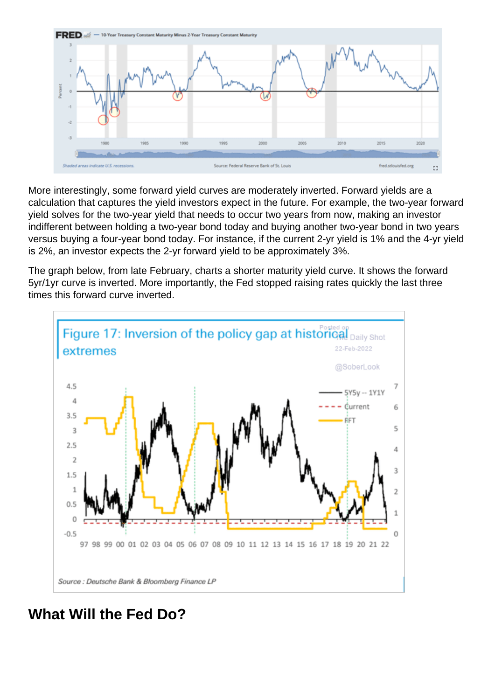More interestingly, some forward yield curves are moderately inverted. Forward yields are a calculation that captures the yield investors expect in the future. For example, the two-year forward yield solves for the two-year yield that needs to occur two years from now, making an investor indifferent between holding a two-year bond today and buying another two-year bond in two years versus buying a four-year bond today. For instance, if the current 2-yr yield is 1% and the 4-yr yield is 2%, an investor expects the 2-yr forward yield to be approximately 3%.

The graph below, from late February, charts a shorter maturity yield curve. It shows the forward 5yr/1yr curve is inverted. More importantly, the Fed stopped raising rates quickly the last three times this forward curve inverted.

What Will the Fed Do?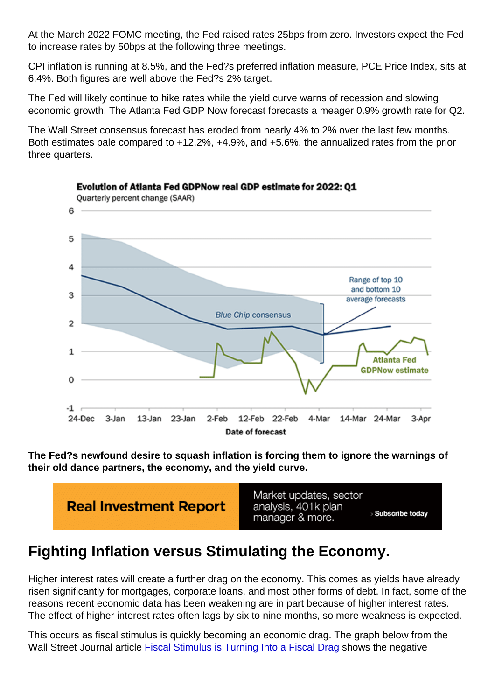At the March 2022 FOMC meeting, the Fed raised rates 25bps from zero. Investors expect the Fed to increase rates by 50bps at the following three meetings.

CPI inflation is running at 8.5%, and the Fed?s preferred inflation measure, PCE Price Index, sits at 6.4%. Both figures are well above the Fed?s 2% target.

The Fed will likely continue to hike rates while the yield curve warns of recession and slowing economic growth. The Atlanta Fed GDP Now forecast forecasts a meager 0.9% growth rate for Q2.

The Wall Street consensus forecast has eroded from nearly 4% to 2% over the last few months. Both estimates pale compared to +12.2%, +4.9%, and +5.6%, the annualized rates from the prior three quarters.

The Fed?s newfound desire to squash inflation is forcing them to ignore the warnings of their old dance partners, the economy, and the yield curve.

### Fighting Inflation versus Stimulating the Economy.

Higher interest rates will create a further drag on the economy. This comes as yields have already risen significantly for mortgages, corporate loans, and most other forms of debt. In fact, some of the reasons recent economic data has been weakening are in part because of higher interest rates. The effect of higher interest rates often lags by six to nine months, so more weakness is expected.

This occurs as fiscal stimulus is quickly becoming an economic drag. The graph below from the Wall Street Journal article [Fiscal Stimulus is Turning Into a Fiscal Drag](https://www.wsj.com/articles/fiscal-stimulus-is-turning-into-a-fiscal-drag-in-a-big-headwind-for-growth-11645369202) shows the negative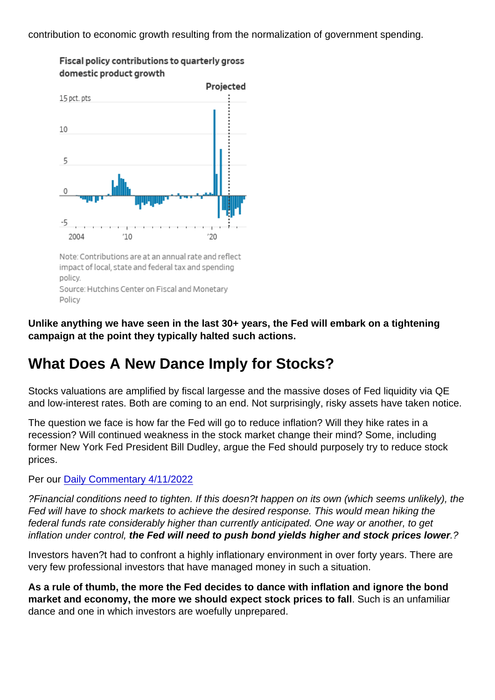contribution to economic growth resulting from the normalization of government spending.

Unlike anything we have seen in the last 30+ years, the Fed will embark on a tightening campaign at the point they typically halted such actions.

### What Does A New Dance Imply for Stocks?

Stocks valuations are amplified by fiscal largesse and the massive doses of Fed liquidity via QE and low-interest rates. Both are coming to an end. Not surprisingly, risky assets have taken notice.

The question we face is how far the Fed will go to reduce inflation? Will they hike rates in a recession? Will continued weakness in the stock market change their mind? Some, including former New York Fed President Bill Dudley, argue the Fed should purposely try to reduce stock prices.

Per our [Daily Commentary 4/11/2022](https://realinvestmentadvice.com/dudley-says-lower-stock-prices-will-tame-inflation/)

?Financial conditions need to tighten. If this doesn?t happen on its own (which seems unlikely), the Fed will have to shock markets to achieve the desired response. This would mean hiking the federal funds rate considerably higher than currently anticipated. One way or another, to get inflation under control, the Fed will need to push bond yields higher and stock prices lower ...?

Investors haven?t had to confront a highly inflationary environment in over forty years. There are very few professional investors that have managed money in such a situation.

As a rule of thumb, the more the Fed decides to dance with inflation and ignore the bond market and economy, the more we should expect stock prices to fall . Such is an unfamiliar dance and one in which investors are woefully unprepared.